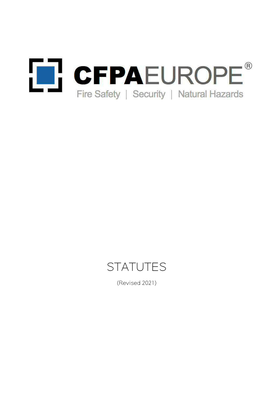



(Revised 2021)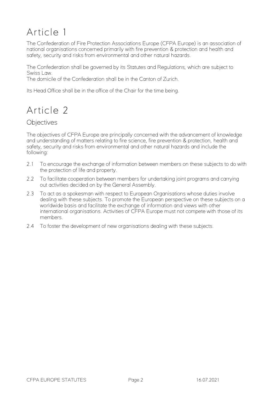## Article 1

The Confederation of Fire Protection Associations Europe (CFPA Europe) is an association of national organisations concerned primarily with fire prevention & protection and health and safety, security and risks from environmental and other natural hazards.

The Confederation shall be governed by its Statutes and Regulations, which are subject to Swiss Law.

The domicile of the Confederation shall be in the Canton of Zurich.

Its Head Office shall be in the office of the Chair for the time being.

## Article 2

#### **Objectives**

The objectives of CFPA Europe are principally concerned with the advancement of knowledge and understanding of matters relating to fire science, fire prevention & protection, health and safety, security and risks from environmental and other natural hazards and include the following:

- 2.1 To encourage the exchange of information between members on these subjects to do with the protection of life and property.
- 2.2 To facilitate cooperation between members for undertaking joint programs and carrying out activities decided on by the General Assembly.
- 2.3 To act as a spokesman with respect to European Organisations whose duties involve dealing with these subjects. To promote the European perspective on these subjects on a worldwide basis and facilitate the exchange of information and views with other international organisations. Activities of CFPA Europe must not compete with those of its members.
- 2.4 To foster the development of new organisations dealing with these subjects.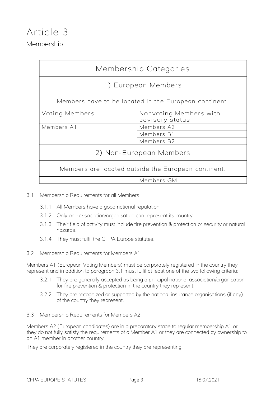|                          | Membership Categories                                 |  |  |  |  |
|--------------------------|-------------------------------------------------------|--|--|--|--|
|                          | 1) European Members                                   |  |  |  |  |
|                          | Members have to be located in the European continent. |  |  |  |  |
| Voting Members           | Nonvoting Members with<br>advisory status             |  |  |  |  |
| Members A2<br>Members A1 |                                                       |  |  |  |  |
| Members B1               |                                                       |  |  |  |  |
|                          | Members B2                                            |  |  |  |  |
|                          | 2) Non-European Members                               |  |  |  |  |
|                          | Members are located outside the European continent.   |  |  |  |  |
|                          | Members GM                                            |  |  |  |  |

- 3.1 Membership Requirements for all Members
	- 3.1.1 All Members have a good national reputation.
	- 3.1.2 Only one association/organisation can represent its country.
	- 3.1.3 Their field of activity must include fire prevention & protection or security or natural hazards.
	- 3.1.4 They must fulfil the CFPA Europe statutes.
- 3.2 Membership Requirements for Members A1

Members A1 (European Voting Members) must be corporately registered in the country they represent and in addition to paragraph 3.1 must fulfil at least one of the two following criteria:

- 3.2.1 They are generally accepted as being a principal national association/organisation for fire prevention & protection in the country they represent.
- 3.2.2 They are recognized or supported by the national insurance organisations (if any) of the country they represent.
- 3.3 Membership Requirements for Members A2

Members A2 (European candidates) are in a preparatory stage to regular membership A1 or they do not fully satisfy the requirements of a Member A1 or they are connected by ownership to an A1 member in another country.

They are corporately registered in the country they are representing.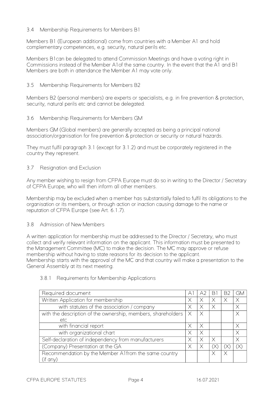#### 3.4 Membership Requirements for Members B1

Members B1 (European additional) come from countries with a Member A1 and hold complementary competences, e.g. security, natural perils etc.

Members B1can be delegated to attend Commission Meetings and have a voting right in Commissions instead of the Member A1of the same country. In the event that the A1 and B1 Members are both in attendance the Member A1 may vote only.

#### 3.5 Membership Requirements for Members B2

Members B2 (personal members) are experts or specialists, e.g. in fire prevention & protection, security, natural perils etc and cannot be delegated.

#### 3.6 Membership Requirements for Members GM

Members GM (Global members) are generally accepted as being a principal national association/organisation for fire prevention & protection or security or natural hazards.

They must fulfil paragraph 3.1 (except for 3.1.2) and must be corporately registered in the country they represent.

#### 3.7 Resignation and Exclusion

Any member wishing to resign from CFPA Europe must do so in writing to the Director / Secretary of CFPA Europe, who will then inform all other members.

Membership may be excluded when a member has substantially failed to fulfil its obligations to the organisation or its members, or through action or inaction causing damage to the name or reputation of CFPA Europe (see Art. 6.1.7).

#### 3.8 Admission of New Members

A written application for membership must be addressed to the Director / Secretary, who must collect and verify relevant information on the applicant. This information must be presented to the Management Committee (MC) to make the decision. The MC may approve or refuse membership without having to state reasons for its decision to the applicant. Membership starts with the approval of the MC and that country will make a presentation to the General Assembly at its next meeting.

## Required document A1 A2 B1 B2 GM Written Application for membership  $X \mid X \mid X$

#### 3.8.1 Requirements for Membership Applications

| with statutes of the association / company                   |   |  |  |
|--------------------------------------------------------------|---|--|--|
| with the description of the ownership, members, shareholders | X |  |  |
| etc                                                          |   |  |  |
| with financial report                                        |   |  |  |
| with organizational chart                                    |   |  |  |
| Self-declaration of independency from manufacturers          |   |  |  |
| (Company) Presentation at the GA                             |   |  |  |
| Recommendation by the Member A1from the same country         |   |  |  |
| (if any                                                      |   |  |  |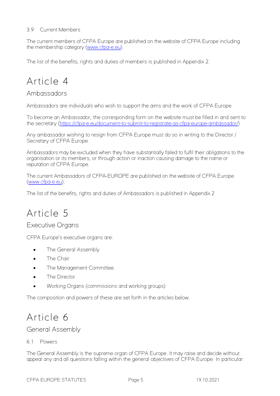#### 3.9 Current Members

The current members of CFPA Europe are published on the website of CFPA Europe including the membership category [\(www.cfpa-e.eu\)](http://www.cfpa-e.eu/).

The list of the benefits, rights and duties of members is published in Appendix 2.

## Article 4

#### Ambassadors

Ambassadors are individuals who wish to support the aims and the work of CFPA Europe.

To become an Ambassador, the corresponding form on the website must be filled in and sent to the secretary [\(https://cfpa-e.eu/document-to-submit-to-registrate-as-cfpa-europe-ambassador/\)](https://cfpa-e.eu/document-to-submit-to-registrate-as-cfpa-europe-ambassador/)

Any ambassador wishing to resign from CFPA Europe must do so in writing to the Director / Secretary of CFPA Europe.

Ambassadors may be excluded when they have substantially failed to fulfil their obligations to the organisation or its members, or through action or inaction causing damage to the name or reputation of CFPA Europe.

The current Ambassadors of CFPA-EUROPE are published on the website of CFPA Europe [\(www.cfpa-e.eu\)](http://www.cfpa-e.eu/).

The list of the benefits, rights and duties of Ambassadors is published in Appendix 2

## Article 5

#### Executive Organs

CFPA Europe's executive organs are:

- The General Assembly
- The Chair
- The Management Committee
- The Director
- Working Organs (commissions and working groups)

The composition and powers of these are set forth in the articles below.

### Article 6

General Assembly

6.1 Powers

The General Assembly is the supreme organ of CFPA Europe. It may raise and decide without appeal any and all questions falling within the general objectives of CFPA Europe. In particular: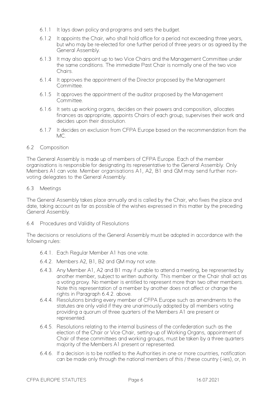- 6.1.1 It lays down policy and programs and sets the budget.
- 6.1.2 It appoints the Chair, who shall hold office for a period not exceeding three years, but who may be re-elected for one further period of three years or as agreed by the General Assembly.
- 6.1.3 It may also appoint up to two Vice Chairs and the Management Committee under the same conditions. The immediate Past Chair is normally one of the two vice Chairs.
- 6.1.4 It approves the appointment of the Director proposed by the Management Committee.
- 6.1.5 It approves the appointment of the auditor proposed by the Management Committee.
- 6.1.6 It sets up working organs, decides on their powers and composition, allocates finances as appropriate, appoints Chairs of each group, supervises their work and decides upon their dissolution.
- 6.1.7 It decides on exclusion from CFPA Europe based on the recommendation from the MC.

#### 6.2 Composition

The General Assembly is made up of members of CFPA Europe. Each of the member organisations is responsible for designating its representative to the General Assembly. Only Members A1 can vote. Member organisations A1, A2, B1 and GM may send further nonvoting delegates to the General Assembly.

#### 6.3 Meetings

The General Assembly takes place annually and is called by the Chair, who fixes the place and date, taking account as far as possible of the wishes expressed in this matter by the preceding General Assembly.

6.4 Procedures and Validity of Resolutions

The decisions or resolutions of the General Assembly must be adopted in accordance with the following rules:

- 6.4.1. Each Regular Member A1 has one vote.
- 6.4.2. Members A2, B1, B2 and GM may not vote.
- 6.4.3. Any Member A1, A2 and B1 may if unable to attend a meeting, be represented by another member, subject to written authority. This member or the Chair shall act as a voting proxy. No member is entitled to represent more than two other members. Note this representation of a member by another does not affect or change the rights in Paragraph 6.4.2. above.
- 6.4.4. Resolutions binding every member of CFPA Europe such as amendments to the statutes are only valid if they are unanimously adopted by all members voting providing a quorum of three quarters of the Members A1 are present or represented.
- 6.4.5. Resolutions relating to the internal business of the confederation such as the election of the Chair or Vice Chair, setting-up of Working Organs, appointment of Chair of these committees and working groups, must be taken by a three quarters majority of the Members A1 present or represented.
- 6.4.6. If a decision is to be notified to the Authorities in one or more countries, notification can be made only through the national members of this / these country (-ies), or, in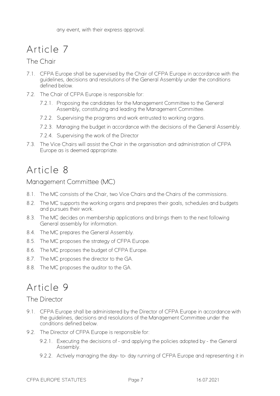## Article 7

#### The Chair

- 7.1. CFPA Europe shall be supervised by the Chair of CFPA Europe in accordance with the guidelines, decisions and resolutions of the General Assembly under the conditions defined below.
- 7.2. The Chair of CFPA Europe is responsible for:
	- 7.2.1. Proposing the candidates for the Management Committee to the General Assembly, constituting and leading the Management Committee.
	- 7.2.2. Supervising the programs and work entrusted to working organs.
	- 7.2.3. Managing the budget in accordance with the decisions of the General Assembly.
	- 7.2.4. Supervising the work of the Director
- 7.3. The Vice Chairs will assist the Chair in the organisation and administration of CFPA Europe as is deemed appropriate.

## Article 8

Management Committee (MC)

- 8.1. The MC consists of the Chair, two Vice Chairs and the Chairs of the commissions.
- 8.2. The MC supports the working organs and prepares their goals, schedules and budgets and pursues their work.
- 8.3. The MC decides on membership applications and brings them to the next following General assembly for information.
- 8.4. The MC prepares the General Assembly.
- 8.5. The MC proposes the strategy of CFPA Europe.
- 8.6. The MC proposes the budget of CFPA Europe.
- 8.7. The MC proposes the director to the GA.
- 8.8. The MC proposes the auditor to the GA.

## Article 9

#### The Director

- 9.1. CFPA Europe shall be administered by the Director of CFPA Europe in accordance with the guidelines, decisions and resolutions of the Management Committee under the conditions defined below.
- 9.2. The Director of CFPA Europe is responsible for:
	- 9.2.1. Executing the decisions of and applying the policies adopted by the General Assembly.
	- 9.2.2. Actively managing the day- to- day running of CFPA Europe and representing it in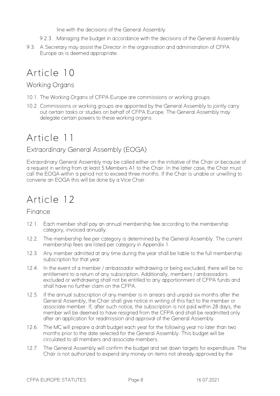line with the decisions of the General Assembly.

- 9.2.3. Managing the budget in accordance with the decisions of the General Assembly.
- 9.3. A Secretary may assist the Director in the organisation and administration of CFPA Europe as is deemed appropriate.

## Article 10

#### Working Organs

- 10.1. The Working Organs of CFPA Europe are commissions or working groups.
- 10.2. Commissions or working groups are appointed by the General Assembly to jointly carry out certain tasks or studies on behalf of CFPA Europe. The General Assembly may delegate certain powers to these working organs.

## Article 11

#### Extraordinary General Assembly (EOGA)

Extraordinary General Assembly may be called either on the initiative of the Chair or because of a request in writing from at least 5 Members A1 to the Chair. In the latter case, the Chair must call the EOGA within a period not to exceed three months. If the Chair is unable or unwilling to convene an EOGA this will be done by a Vice Chair.

## Article 12

#### Finance

- 12.1. Each member shall pay an annual membership fee according to the membership category, invoiced annually.
- 12.2. The membership fee per category is determined by the General Assembly. The current membership fees are listed per category in Appendix 1.
- 12.3. Any member admitted at any time during the year shall be liable to the full membership subscription for that year.
- 12.4. In the event of a member / ambassador withdrawing or being excluded, there will be no entitlement to a return of any subscription. Additionally, members / ambassadors excluded or withdrawing shall not be entitled to any apportionment of CFPA funds and shall have no further claim on the CFPA.
- 12.5. If the annual subscription of any member is in arrears and unpaid six months after the General Assembly, the Chair shall give notice in writing of this fact to the member or associate member. If, after such notice, the subscription is not paid within 28 days, the member will be deemed to have resigned from the CFPA and shall be readmitted only after an application for readmission and approval of the General Assembly.
- 12.6. The MC will prepare a draft budget each year for the following year no later than two months prior to the date selected for the General Assembly. This budget will be circulated to all members and associate members.
- 12.7. The General Assembly will confirm the budget and set down targets for expenditure. The Chair is not authorized to expend any money on items not already approved by the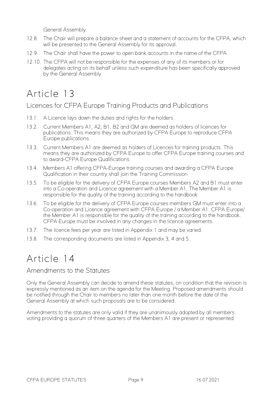General Assembly.

- 12.8. The Chair will prepare a balance sheet and a statement of accounts for the CFPA, which will be presented to the General Assembly for its approval.
- 12.9. The Chair shall have the power to open bank accounts in the name of the CFPA.
- 12.10. The CFPA will not be responsible for the expenses of any of its members or for delegates acting on its behalf unless such expenditure has been specifically approved by the General Assembly.

## Article 13

#### Licences for CFPA Europe Training Products and Publications

- 13.1. A Licence lays down the duties and rights for the holders.
- 13.2. Current Members A1, A2, B1, B2 and GM are deemed as holders of licences for publications. This means they are authorized by CFPA Europe to reproduce CFPA Europe publications.
- 13.3. Current Members A1 are deemed as holders of Licences for training products. This means they are authorized by CFPA Europe to offer CFPA Europe training courses and to award-CFPA Europe Qualifications.
- 13.4. Members A1 offering CFPA-Europe training courses and awarding a CFPA Europe Qualification in their country shall join the Training Commission.
- 13.5. To be eligible for the delivery of CFPA Europe courses Members A2 and B1 must enter into a Co-operation and Licence agreement with a Member A1. The Member A1 is responsible for the quality of the training according to the handbook.
- 13.6. To be eligible for the delivery of CFPA Europe courses members GM must enter into a Co-operation and Licence agreement with CFPA Europe / a Member A1. CFPA Europe/ the Member A1 is responsible for the quality of the training according to the handbook. CFPA Europe must be involved in any changes in the licence agreements.
- 13.7. The licence fees per year are listed in Appendix 1 and may be varied.
- 13.8. The corresponding documents are listed in Appendix 3, 4 and 5.

## Article 14

#### Amendments to the Statutes

Only the General Assembly can decide to amend these statutes, on condition that the revision is expressly mentioned as an item on the agenda for the Meeting. Proposed amendments should be notified through the Chair to members no later than one month before the date of the General Assembly at which such proposals are to be considered.

Amendments to the statutes are only valid if they are unanimously adopted by all members voting providing a quorum of three quarters of the Members A1 are present or represented.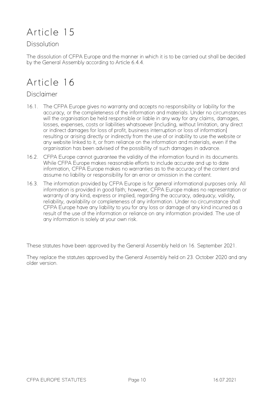## Article 15

#### **Dissolution**

The dissolution of CFPA Europe and the manner in which it is to be carried out shall be decided by the General Assembly according to Article 6.4.4.

## Article 16

#### Disclaimer

- 16.1. The CFPA Europe gives no warranty and accepts no responsibility or liability for the accuracy, or the completeness of the information and materials. Under no circumstances will the organisation be held responsible or liable in any way for any claims, damages, losses, expenses, costs or liabilities whatsoever [including, without limitation, any direct or indirect damages for loss of profit, business interruption or loss of information] resulting or arising directly or indirectly from the use of or inability to use the website or any website linked to it, or from reliance on the information and materials, even if the organisation has been advised of the possibility of such damages in advance.
- 16.2. CFPA Europe cannot guarantee the validity of the information found in its documents. While CFPA Europe makes reasonable efforts to include accurate and up to date information, CFPA Europe makes no warranties as to the accuracy of the content and assume no liability or responsibility for an error or omission in the content.
- 16.3. The information provided by CFPA Europe is for general informational purposes only. All information is provided in good faith; however, CFPA Europe makes no representation or warranty of any kind, express or implied, regarding the accuracy, adequacy, validity, reliability, availability or completeness of any information. Under no circumstance shall CFPA Europe have any liability to you for any loss or damage of any kind incurred as a result of the use of the information or reliance on any information provided. The use of any information is solely at your own risk.

These statutes have been approved by the General Assembly held on 16. September 2021.

They replace the statutes approved by the General Assembly held on 23. October 2020 and any older version.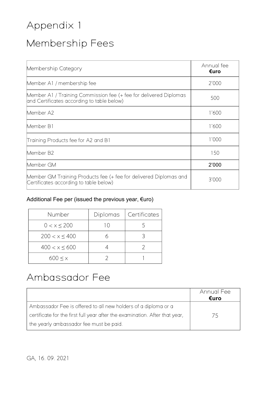## Membership Fees

| Membership Category                                                                                             | Annual fee<br>€uro |
|-----------------------------------------------------------------------------------------------------------------|--------------------|
| Member A1 / membership fee                                                                                      | 2'000              |
| Member A1 / Training Commission fee (+ fee for delivered Diplomas<br>and Certificates according to table below) | 500                |
| Member A2                                                                                                       | 1'600              |
| Member B1                                                                                                       | 1'600              |
| Training Products fee for A2 and B1                                                                             | 1'000              |
| Member B2                                                                                                       | 150                |
| Member GM                                                                                                       | 2'000              |
| Member GM Training Products fee (+ fee for delivered Diplomas and<br>Certificates according to table below)     | 3'000              |

### Additional Fee per (issued the previous year, €uro)

| Number             | Diplomas    | <b>Certificates</b> |
|--------------------|-------------|---------------------|
| $0 < x \le 200$    | $\vert$ ( ) |                     |
| $200 < x \leq 400$ |             |                     |
| $400 < x \le 600$  |             |                     |
| $600 \le x$        |             |                     |

## Ambassador Fee

|                                                                             | Annual Fee<br>€uro |
|-----------------------------------------------------------------------------|--------------------|
| Ambassador Fee is offered to all new holders of a diploma or a              |                    |
| certificate for the first full year after the examination. After that year, | 75                 |
| the yearly ambassador fee must be paid.                                     |                    |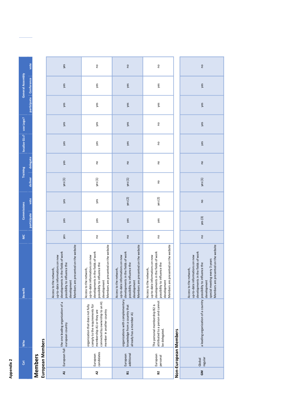|                      | vote                          |
|----------------------|-------------------------------|
| <b>Pral Assem</b>    | `onfarai                      |
|                      |                               |
|                      |                               |
| calize GLs? use Logo |                               |
| <b>Faining</b>       | in<br>Si<br>ستمام أموعته<br>J |
|                      | deliver                       |
| Suc                  | <b>NOLG</b>                   |
|                      |                               |
| š                    |                               |
| ĉ                    |                               |

|                  | vote                   |                       | yes                                                                                                                                                                                   | $\overline{c}$                                                                                                                                                                        | $\overline{c}$                                                                                                                                                                        | $\mathsf{S}$                                                                                                                                                                          |                      | $\overline{c}$                                                                                                                                                                                                         |
|------------------|------------------------|-----------------------|---------------------------------------------------------------------------------------------------------------------------------------------------------------------------------------|---------------------------------------------------------------------------------------------------------------------------------------------------------------------------------------|---------------------------------------------------------------------------------------------------------------------------------------------------------------------------------------|---------------------------------------------------------------------------------------------------------------------------------------------------------------------------------------|----------------------|------------------------------------------------------------------------------------------------------------------------------------------------------------------------------------------------------------------------|
| General Assembly | participate Conference |                       | yes                                                                                                                                                                                   | yes                                                                                                                                                                                   | yes                                                                                                                                                                                   | yes                                                                                                                                                                                   |                      | yes                                                                                                                                                                                                                    |
|                  |                        |                       | yes                                                                                                                                                                                   | yes                                                                                                                                                                                   | yes                                                                                                                                                                                   | yes                                                                                                                                                                                   |                      | yes                                                                                                                                                                                                                    |
| use Logo?        |                        |                       | yes                                                                                                                                                                                   | yes                                                                                                                                                                                   | yes                                                                                                                                                                                   | 0q                                                                                                                                                                                    |                      | yes                                                                                                                                                                                                                    |
| localize GLs?    |                        |                       | yes                                                                                                                                                                                   | yes                                                                                                                                                                                   | yes                                                                                                                                                                                   | S                                                                                                                                                                                     |                      | yes                                                                                                                                                                                                                    |
| Training         | delegate               |                       | yes                                                                                                                                                                                   | <b>O</b>                                                                                                                                                                              | $\overline{c}$                                                                                                                                                                        | $\mathsf{S}$                                                                                                                                                                          |                      | $\overline{c}$                                                                                                                                                                                                         |
|                  | deliver                |                       | yes(1)                                                                                                                                                                                | yes(1)                                                                                                                                                                                | yes (1)                                                                                                                                                                               | $\mathsf{S}$                                                                                                                                                                          |                      | yes(1)                                                                                                                                                                                                                 |
| Commissions      | rote                   |                       | yes                                                                                                                                                                                   | yes                                                                                                                                                                                   | yes (2)                                                                                                                                                                               | yes(2)                                                                                                                                                                                |                      | $\mathsf{S}$                                                                                                                                                                                                           |
|                  | participate            |                       | yes                                                                                                                                                                                   | yes                                                                                                                                                                                   | yes                                                                                                                                                                                   | yes                                                                                                                                                                                   |                      | yes (3)                                                                                                                                                                                                                |
| <b>MC</b>        |                        |                       | yes                                                                                                                                                                                   | o                                                                                                                                                                                     | <b>DJ</b>                                                                                                                                                                             | <b>O</b>                                                                                                                                                                              |                      | <b>DU</b>                                                                                                                                                                                                              |
| <b>Benefit</b>   |                        |                       | Members are presented on the website<br>developments in the fields of work<br>up-to-date informations on new<br>possibility to influence the<br>Access to the network,<br>development | Members are presented on the website<br>developments in the fields of work<br>up-to-date informations on new<br>possibility to influence the<br>Access to the network,<br>development | Members are presented on the website<br>developments in the fields of work<br>up-to-date informations on new<br>possibility to influence the<br>Access to the network,<br>development | Members are presented on the website<br>developments in the fields of work<br>up-to-date informations on new<br>possibility to influence the<br>Access to the network,<br>development |                      | Members are presented on the website<br>developments in the fields of work<br>up-to-date informations on new<br>special meeting every 3 years<br>possibility to influence the<br>Access to the network,<br>development |
| <b>Who</b>       |                        | embers                | the one leading organization of a<br>european country                                                                                                                                 | connected by ownership to an A1<br>comply to the requirements für<br>organization that does not fully<br>member in another country<br>membership A1 or they are                       | organizations with complementary<br>knowledge from a country that<br>already has a member A1                                                                                          | attributed to a person and cannot<br>The personal membership B2 is<br>be delegated.                                                                                                   |                      | a leading organization of a country                                                                                                                                                                                    |
| đã               |                        | European M<br>Members | $\overline{t}$<br>European                                                                                                                                                            | candidates<br>European                                                                                                                                                                | additional<br>European                                                                                                                                                                | European<br>personal                                                                                                                                                                  | Non-European Members | regular<br>Global                                                                                                                                                                                                      |
|                  |                        |                       | $\mathbf{z}$                                                                                                                                                                          | $\mathbf{z}$                                                                                                                                                                          | B1                                                                                                                                                                                    | ${\bf B2}$                                                                                                                                                                            |                      | $\mathsf{S}$                                                                                                                                                                                                           |
|                  |                        |                       |                                                                                                                                                                                       |                                                                                                                                                                                       |                                                                                                                                                                                       |                                                                                                                                                                                       |                      |                                                                                                                                                                                                                        |

| a leading organization of a country |
|-------------------------------------|
| regular<br>Global                   |
| $\mathbf{S}$                        |
|                                     |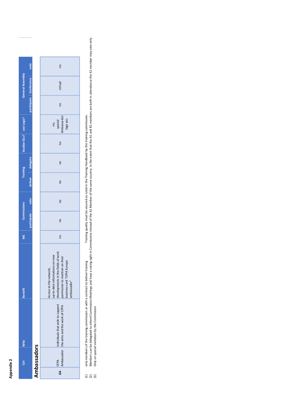Members can be delegated to attend Commission<br>Only on special invitation by the Commission (3) Only on special invitation by the Commission $\frac{1}{2}$ 

| <b>Benefit</b> | ο<br>Σ | Commissions |      |         | Training | localize GLs? use Logo? |  | General Assembly       |      |
|----------------|--------|-------------|------|---------|----------|-------------------------|--|------------------------|------|
|                |        | participate | vote | deliver | delegate |                         |  | participate Conference | vote |
|                |        |             |      |         |          |                         |  |                        |      |
|                |        |             |      |         |          |                         |  |                        |      |
|                |        |             |      |         |          |                         |  |                        |      |

|                                | <b>Gat</b>         | <b>Who</b>                                                                     | <b>Benefit</b>                                                                                                                                                                | <b>MC</b> | <b>Commissions</b>                                                                             |      |               | <b>Training</b> | localize GLs? use Logo? |                                          |                        | General Assembly |          |
|--------------------------------|--------------------|--------------------------------------------------------------------------------|-------------------------------------------------------------------------------------------------------------------------------------------------------------------------------|-----------|------------------------------------------------------------------------------------------------|------|---------------|-----------------|-------------------------|------------------------------------------|------------------------|------------------|----------|
|                                |                    |                                                                                |                                                                                                                                                                               |           | participate                                                                                    | vote | deliver       | delegate        |                         |                                          | participate Conference |                  | vote     |
|                                | Ambassadors        |                                                                                |                                                                                                                                                                               |           |                                                                                                |      |               |                 |                         |                                          |                        |                  |          |
| GA<br>G                        | Ambassador<br>CFPA | individuals that wish to support<br>the aims and the work of CFPA              | developments in the fields of work<br>up-to-date informations on new<br>permission to mention on their<br>business card "CFPA Europe<br>Access to the network,<br>ambassador" | <u>p</u>  | $\frac{1}{2}$                                                                                  | S    | $\frac{1}{2}$ | <u>p</u>        | <b>DU</b>               | Ambassa-dor<br>logo yes<br>special<br>c, | 9ù                     | virtual          | <u>p</u> |
| $\tilde{c}$<br>$\widehat{\Xi}$ |                    | only members of the training commission or with a contract to deliver training |                                                                                                                                                                               |           | Training quality must be secured as ruled in the Training Handbook by the training commission. |      |               |                 |                         |                                          |                        |                  |          |

Meetings and have a voting right in Commissions instead of the A1 Member of the same country. In the event that the A1 and B1 members are both in attendance the A1 member may vote only. (2) Members can be delegated to attend Commission Meetings and have a voting right in Commissions instead of the A1 Member of the same country. In the event that the A1 and B1 members are both in attendance the A1 member m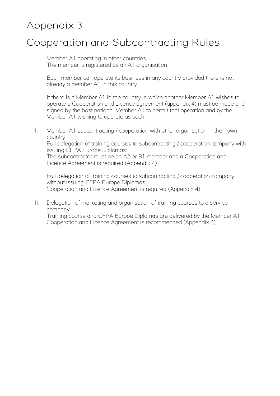## Cooperation and Subcontracting Rules

I. Member A1 operating in other countries The member is registered as an A1 organisation.

> Each member can operate its business in any country provided there is not already a member A1 in this country.

If there is a Member A1 in the country in which another Member A1 wishes to operate a Cooperation and Licence agreement (appendix 4) must be made and signed by the host national Member A1 to permit that operation and by the Member A1 wishing to operate as such.

II. Member A1 subcontracting / cooperation with other organisation in their own country

Full delegation of training courses to subcontracting / cooperation company with issuing CFPA Europe Diplomas:

The subcontractor must be an A2 or B1 member and a Cooperation and Licence Agreement is required (Appendix 4).

Full delegation of training courses to subcontracting / cooperation company without issuing CFPA Europe Diplomas: Cooperation and Licence Agreement is required (Appendix 4).

III. Delegation of marketing and organisation of training courses to a service company

Training course and CFPA Europe Diplomas are delivered by the Member A1. Cooperation and Licence Agreement is recommended (Appendix 4)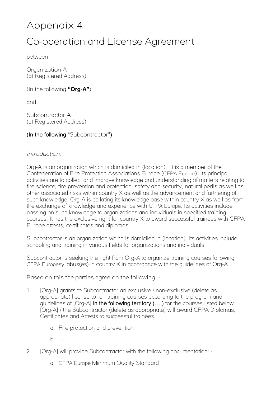## Appendix 4 Co-operation and License Agreement

between

Organization A (at Registered Address)

(In the following **"Org**-**A"**)

and

Subcontractor A (at Registered Address)

(In the following "Subcontractor")

#### *Introduction*:

Org-A is an organization which is domiciled in (location). It is a member of the Confederation of Fire Protection Associations Europe (CFPA Europe). Its principal activities are to collect and improve knowledge and understanding of matters relating to fire science, fire prevention and protection, safety and security, natural perils as well as other associated risks within country X as well as the advancement and furthering of such knowledge. Org-A is collating its knowledge base within country X as well as from the exchange of knowledge and experience with CFPA Europe. Its activities include passing on such knowledge to organizations and individuals in specified training courses. It has the exclusive right for country X to award successful trainees with CFPA Europe attests, certificates and diplomas.

Subcontractor is an organization which is domiciled in (location). Its activities include schooling and training in various fields for organizations and individuals.

Subcontractor is seeking the right from Org-A to organize training courses following CFPA Europesyllabus(es) in country X in accordance with the guidelines of Org-A.

Based on this the parties agree on the following: -

- 1. [Org-A] grants to Subcontractor an exclusive / non-exclusive (delete as appropriate) license to run training courses according to the program and quidelines of [Org-A] in the following territory (....) for the courses listed below. [Org-A] / the Subcontractor (delete as appropriate) will award CFPA Diplomas, Certificates and Attests to successful trainees.
	- a. Fire protection and prevention
	- b. ….
- 2. [Org-A] will provide Subcontractor with the following documentation:
	- a. CFPA Europe Minimum Quality Standard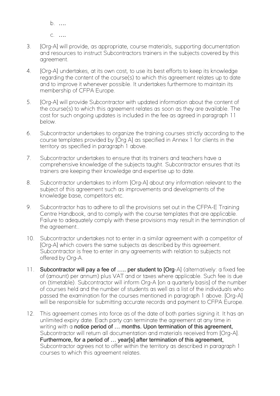b. …. c. ….

- 3. [Org-A] will provide, as appropriate, course materials, supporting documentation and resources to instruct Subcontractors trainers in the subjects covered by this agreement.
- 4. [Org-A] undertakes, at its own cost, to use its best efforts to keep its knowledge regarding the content of the course(s) to which this agreement relates up to date and to improve it whenever possible. It undertakes furthermore to maintain its membership of CFPA Europe.
- 5. [Org-A] will provide Subcontractor with updated information about the content of the course(s) to which this agreement relates as soon as they are available. The cost for such ongoing updates is included in the fee as agreed in paragraph 11 below.
- 6. Subcontractor undertakes to organize the training courses strictly according to the course templates provided by [Org A] as specified in Annex 1 for clients in the territory as specified in paragraph 1 above.
- 7. Subcontractor undertakes to ensure that its trainers and teachers have a comprehensive knowledge of the subjects taught. Subcontractor ensures that its trainers are keeping their knowledge and expertise up to date.
- 8. Subcontractor undertakes to inform [Org-A] about any information relevant to the subject of this agreement such as improvements and developments of the knowledge base, competitors etc.
- 9. Subcontractor has to adhere to all the provisions set out in the CFPA-E Training Centre Handbook, and to comply with the course templates that are applicable. Failure to adequately comply with these provisions may result in the termination of the agreement..
- 10. Subcontractor undertakes not to enter in a similar agreement with a competitor of [Org-A] which covers the same subjects as described by this agreement. Subcontractor is free to enter in any agreements with relation to subjects not offered by Org-A.
- 11. Subcontractor will pay a fee of ..... per student to [Org-A] (alternatively: a fixed fee of (amount) per annum) plus VAT and or taxes where applicable. Such fee is due on (timetable). Subcontractor will inform Org-A [on a quarterly basis] of the number of courses held and the number of students as well as a list of the individuals who passed the examination for the courses mentioned in paragraph 1 above. [Org-A] will be responsible for submitting accurate records and payment to CFPA Europe.
- 12. This agreement comes into force as of the date of both parties signing it. It has an unlimited expiry date. Each party can terminate the agreement at any time in writing with a notice period of ... months. Upon termination of this agreement, Subcontractor will return all documentation and materials received from [Org-A]. Furthermore, for a period of … year[s] after termination of this agreement, Subcontractor agrees not to offer within the territory as described in paragraph 1 courses to which this agreement relates.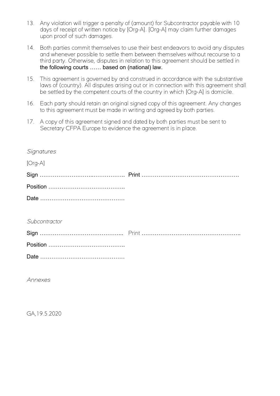- 13. Any violation will trigger a penalty of (amount) for Subcontractor payable with 10 days of receipt of written notice by [Org-A]. [Org-A] may claim further damages upon proof of such damages.
- 14. Both parties commit themselves to use their best endeavors to avoid any disputes and whenever possible to settle them between themselves without recourse to a third party. Otherwise, disputes in relation to this agreement should be settled in the following courts …… based on (national) law.
- 15. This agreement is governed by and construed in accordance with the substantive laws of (country). All disputes arising out or in connection with this agreement shall be settled by the competent courts of the country in which [Org-A] is domicile.
- 16. Each party should retain an original signed copy of this agreement. Any changes to this agreement must be made in writing and agreed by both parties.
- 17. A copy of this agreement signed and dated by both parties must be sent to Secretary CFPA Europe to evidence the agreement is in place.

| Signatures    |  |
|---------------|--|
| $[Org-A]$     |  |
|               |  |
|               |  |
|               |  |
|               |  |
| Subcontractor |  |
|               |  |
|               |  |
|               |  |

*Annexes*

GA,19.5.2020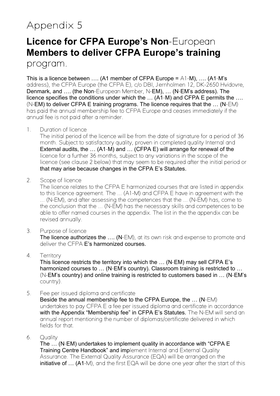## **Licence for CFPA Europe's Non**-European **Members to deliver CFPA Europe's training**

program.

This is a licence between .... (A1 member of CFPA Europe =  $A1-M$ ), .... (A1-M's address), the CFPA Europe (the CFPA E), c/o DBI, Jernholmen 12, DK-2650 Hvidovre, Denmark, and …. (the Non-European Member, N-EM), … (N-EM's address). The licence specifies the conditions under which the … (A1-M) and CFPA E permits the …. (N-EM) to deliver CFPA E training programs. The licence requires that the … (N-EM) has paid the annual membership fee to CFPA Europe and ceases immediately if the annual fee is not paid after a reminder.

1. Duration of licence

The initial period of the licence will be from the date of signature for a period of 36 month. Subject to satisfactory quality, proven in completed quality Internal and External audits, the … (A1-M) and … (CFPA E) will arrange for renewal of the licence for a further 36 months, subject to any variations in the scope of the licence (see clause 2 below) that may seem to be required after the initial period or that may arise because changes in the CFPA E's Statutes.

2. Scope of licence

The licence relates to the CFPA E harmonized courses that are listed in appendix to this licence agreement. The ... (A1-M) and CFPA E have in agreement with the ... (N-EM), and after assessing the competences that the ... (N-EM) has, come to the conclusion that the ... (N-EM) has the necessary skills and competences to be able to offer named courses in the appendix. The list in the the appendix can be revised annually.

3. Purpose of licence

The licence authorizes the .... (N-EM), at its own risk and expense to promote and deliver the CFPA E's harmonized courses.

#### 4. Territory

This licence restricts the territory into which the … (N-EM) may sell CFPA E's harmonized courses to … (N-EM's country). Classroom training is restricted to … (N-EM's country) and online training is restricted to customers based in … (N-EM's country).

5. Fee per issued diploma and certificate

Beside the annual membership fee to the CFPA Europe, the … (N-EM) undertakes to pay CFPA E a fee per issued diploma and certificate in accordance with the Appendix "Membership fee" in CFPA E's Statutes. The N-EM will send an annual report mentioning the number of diplomas/certificate delivered in which fields for that.

6. Quality

The … (N-EM) undertakes to implement quality in accordance with "CFPA E Training Centre Handbook" and implement Internal and External Quality Assurance. The External Quality Assurance (EQA) will be arranged on the initiative of ... (A1-M), and the first EQA will be done one year after the start of this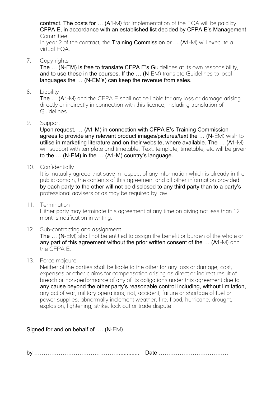contract. The costs for … (A1-M) for implementation of the EQA will be paid by CFPA E, in accordance with an established list decided by CFPA E's Management Committee.

In year 2 of the contract, the Training Commission or ... (A1-M) will execute a virtual EQA.

7. Copy rights

The ... (N-EM) is free to translate CFPA E's Guidelines at its own responsibility, and to use these in the courses. If the … (N-EM) translate Guidelines to local languages the … (N-EM's) can keep the revenue from sales.

8. Liability

The ... (A1-M) and the CFPA E shall not be liable for any loss or damage arising directly or indirectly in connection with this licence, including translation of Guidelines.

9. Support

Upon request, … (A1-M) in connection with CFPA E's Training Commission agrees to provide any relevant product images/pictures/text the … (N-EM) wish to utilise in marketing literature and on their website, where available. The … (A1-M) will support with template and timetable. Text, template, timetable, etc will be given to the … (N-EM) in the … (A1-M) country's language.

10. Confidentially

It is mutually agreed that save in respect of any information which is already in the public domain, the contents of this agreement and all other information provided by each party to the other will not be disclosed to any third party than to a party's professional advisers or as may be required by law.

11. Termination

Either party may terminate this agreement at any time on giving not less than 12 months notification in writing.

- 12. Sub-contracting and assignment The … (N-EM) shall not be entitled to assign the benefit or burden of the whole or any part of this agreement without the prior written consent of the ... (A1-M) and the CFPA E.
- 13. Force majeure

Neither of the parties shall be liable to the other for any loss or damage, cost, expenses or other claims for compensation arising as direct or indirect result of breach or non-performance of any of its obligations under this agreement due to any cause beyond the other party's reasonable control including, without limitation, any act of war, military operations, riot, accident, failure or shortage of fuel or power supplies, abnormally inclement weather, fire, flood, hurricane, drought, explosion, lightening, strike, lock out or trade dispute.

Signed for and on behalf of …. (N-EM)

by ………………………………………............. Date ……………………………….